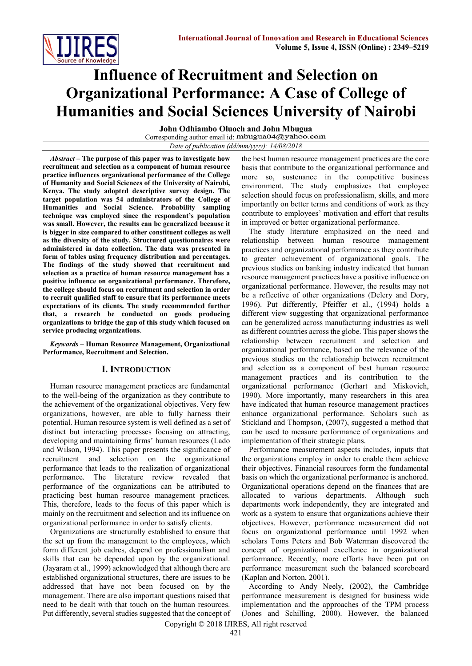

# **Influence of Recruitment and Selection on Organizational Performance: A Case of College of Humanities and Social Sciences University of Nairobi**

**John Odhiambo Oluoch and John Mbugua**  Corresponding author email id: mbugua04@yahoo.com *Date of publication (dd/mm/yyyy): 14/08/2018*

*Abstract* **– The purpose of this paper was to investigate how recruitment and selection as a component of human resource practice influences organizational performance of the College of Humanity and Social Sciences of the University of Nairobi, Kenya. The study adopted descriptive survey design. The target population was 54 administrators of the College of Humanities and Social Science. Probability sampling technique was employed since the respondent's population was small. However, the results can be generalized because it is bigger in size compared to other constituent colleges as well as the diversity of the study. Structured questionnaires were administered in data collection. The data was presented in form of tables using frequency distribution and percentages. The findings of the study showed that recruitment and selection as a practice of human resource management has a positive influence on organizational performance. Therefore, the college should focus on recruitment and selection in order to recruit qualified staff to ensure that its performance meets expectations of its clients. The study recommended further that, a research be conducted on goods producing organizations to bridge the gap of this study which focused on service producing organizations**.

*Keywords* **– Human Resource Management, Organizational Performance, Recruitment and Selection.**

# **I. INTRODUCTION**

Human resource management practices are fundamental to the well-being of the organization as they contribute to the achievement of the organizational objectives. Very few organizations, however, are able to fully harness their potential. Human resource system is well defined as a set of distinct but interacting processes focusing on attracting, developing and maintaining firms' human resources (Lado and Wilson, 1994). This paper presents the significance of recruitment and selection on the organizational performance that leads to the realization of organizational performance. The literature review revealed that performance of the organizations can be attributed to practicing best human resource management practices. This, therefore, leads to the focus of this paper which is mainly on the recruitment and selection and its influence on organizational performance in order to satisfy clients.

Organizations are structurally established to ensure that the set up from the management to the employees, which form different job cadres, depend on professionalism and skills that can be depended upon by the organizational. (Jayaram et al., 1999) acknowledged that although there are established organizational structures, there are issues to be addressed that have not been focused on by the management. There are also important questions raised that need to be dealt with that touch on the human resources. Put differently, several studies suggested that the concept of the best human resource management practices are the core basis that contribute to the organizational performance and more so, sustenance in the competitive business environment. The study emphasizes that employee selection should focus on professionalism, skills, and more importantly on better terms and conditions of work as they contribute to employees' motivation and effort that results in improved or better organizational performance.

The study literature emphasized on the need and relationship between human resource management practices and organizational performance as they contribute to greater achievement of organizational goals. The previous studies on banking industry indicated that human resource management practices have a positive influence on organizational performance. However, the results may not be a reflective of other organizations (Delery and Dory, 1996). Put differently, Pfeiffer et al., (1994) holds a different view suggesting that organizational performance can be generalized across manufacturing industries as well as different countries across the globe. This paper shows the relationship between recruitment and selection and organizational performance, based on the relevance of the previous studies on the relationship between recruitment and selection as a component of best human resource management practices and its contribution to the organizational performance (Gerhart and Miskovich, 1990). More importantly, many researchers in this area have indicated that human resource management practices enhance organizational performance. Scholars such as Stickland and Thompson, (2007), suggested a method that can be used to measure performance of organizations and implementation of their strategic plans.

Performance measurement aspects includes, inputs that the organizations employ in order to enable them achieve their objectives. Financial resources form the fundamental basis on which the organizational performance is anchored. Organizational operations depend on the finances that are allocated to various departments. Although such departments work independently, they are integrated and work as a system to ensure that organizations achieve their objectives. However, performance measurement did not focus on organizational performance until 1992 when scholars Toms Peters and Bob Waterman discovered the concept of organizational excellence in organizational performance. Recently, more efforts have been put on performance measurement such the balanced scoreboard (Kaplan and Norton, 2001).

According to Andy Neely, (2002), the Cambridge performance measurement is designed for business wide implementation and the approaches of the TPM process (Jones and Schilling, 2000). However, the balanced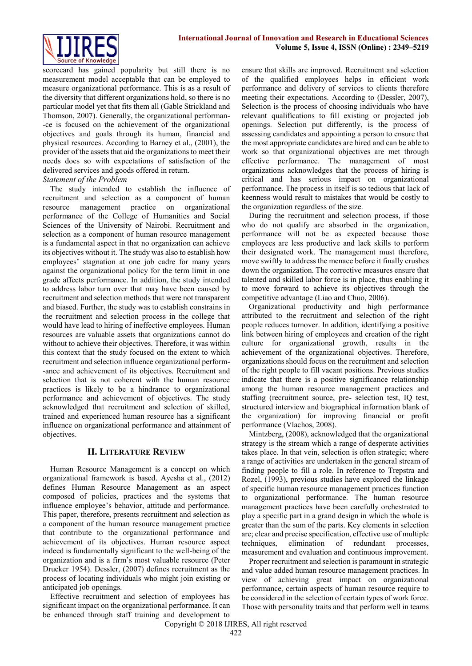

scorecard has gained popularity but still there is no measurement model acceptable that can be employed to measure organizational performance. This is as a result of the diversity that different organizations hold, so there is no particular model yet that fits them all (Gable Strickland and Thomson, 2007). Generally, the organizational performan- -ce is focused on the achievement of the organizational objectives and goals through its human, financial and physical resources. According to Barney et al., (2001), the provider of the assets that aid the organizations to meet their needs does so with expectations of satisfaction of the delivered services and goods offered in return. *Statement of the Problem*

The study intended to establish the influence of recruitment and selection as a component of human resource management practice on organizational performance of the College of Humanities and Social Sciences of the University of Nairobi. Recruitment and selection as a component of human resource management is a fundamental aspect in that no organization can achieve its objectives without it. The study was also to establish how employees' stagnation at one job cadre for many years against the organizational policy for the term limit in one grade affects performance. In addition, the study intended to address labor turn over that may have been caused by recruitment and selection methods that were not transparent and biased. Further, the study was to establish constrains in the recruitment and selection process in the college that would have lead to hiring of ineffective employees. Human resources are valuable assets that organizations cannot do without to achieve their objectives. Therefore, it was within this context that the study focused on the extent to which recruitment and selection influence organizational perform- -ance and achievement of its objectives. Recruitment and selection that is not coherent with the human resource practices is likely to be a hindrance to organizational performance and achievement of objectives. The study acknowledged that recruitment and selection of skilled, trained and experienced human resource has a significant influence on organizational performance and attainment of objectives.

# **II. LITERATURE REVIEW**

Human Resource Management is a concept on which organizational framework is based. Ayesha et al., (2012) defines Human Resource Management as an aspect composed of policies, practices and the systems that influence employee's behavior, attitude and performance. This paper, therefore, presents recruitment and selection as a component of the human resource management practice that contribute to the organizational performance and achievement of its objectives. Human resource aspect indeed is fundamentally significant to the well-being of the organization and is a firm's most valuable resource (Peter Drucker 1954). Dessler, (2007) defines recruitment as the process of locating individuals who might join existing or anticipated job openings.

Effective recruitment and selection of employees has significant impact on the organizational performance. It can be enhanced through staff training and development to

ensure that skills are improved. Recruitment and selection of the qualified employees helps in efficient work performance and delivery of services to clients therefore meeting their expectations. According to (Dessler, 2007), Selection is the process of choosing individuals who have relevant qualifications to fill existing or projected job openings. Selection put differently, is the process of assessing candidates and appointing a person to ensure that the most appropriate candidates are hired and can be able to work so that organizational objectives are met through effective performance. The management of most organizations acknowledges that the process of hiring is critical and has serious impact on organizational performance. The process in itself is so tedious that lack of keenness would result to mistakes that would be costly to the organization regardless of the size.

During the recruitment and selection process, if those who do not qualify are absorbed in the organization, performance will not be as expected because those employees are less productive and lack skills to perform their designated work. The management must therefore, move swiftly to address the menace before it finally crushes down the organization. The corrective measures ensure that talented and skilled labor force is in place, thus enabling it to move forward to achieve its objectives through the competitive advantage (Liao and Chuo, 2006).

Organizational productivity and high performance attributed to the recruitment and selection of the right people reduces turnover. In addition, identifying a positive link between hiring of employees and creation of the right culture for organizational growth, results in the achievement of the organizational objectives. Therefore, organizations should focus on the recruitment and selection of the right people to fill vacant positions. Previous studies indicate that there is a positive significance relationship among the human resource management practices and staffing (recruitment source, pre- selection test, IQ test, structured interview and biographical information blank of the organization) for improving financial or profit performance (Vlachos, 2008).

Mintzberg, (2008), acknowledged that the organizational strategy is the stream which a range of desperate activities takes place. In that vein, selection is often strategic; where a range of activities are undertaken in the general stream of finding people to fill a role. In reference to Trepstra and Rozel, (1993), previous studies have explored the linkage of specific human resource management practices function to organizational performance. The human resource management practices have been carefully orchestrated to play a specific part in a grand design in which the whole is greater than the sum of the parts. Key elements in selection are; clear and precise specification, effective use of multiple techniques, elimination of redundant processes, measurement and evaluation and continuous improvement.

Proper recruitment and selection is paramount in strategic and value added human resource management practices. In view of achieving great impact on organizational performance, certain aspects of human resource require to be considered in the selection of certain types of work force. Those with personality traits and that perform well in teams

Copyright © 2018 IJIRES, All right reserved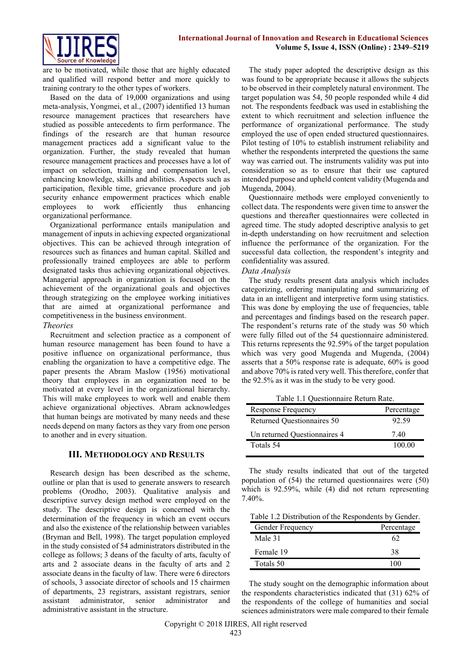

are to be motivated, while those that are highly educated and qualified will respond better and more quickly to training contrary to the other types of workers.

Based on the data of 19,000 organizations and using meta-analysis, Yongmei, et al., (2007) identified 13 human resource management practices that researchers have studied as possible antecedents to firm performance. The findings of the research are that human resource management practices add a significant value to the organization. Further, the study revealed that human resource management practices and processes have a lot of impact on selection, training and compensation level, enhancing knowledge, skills and abilities. Aspects such as participation, flexible time, grievance procedure and job security enhance empowerment practices which enable employees to work efficiently thus enhancing organizational performance.

Organizational performance entails manipulation and management of inputs in achieving expected organizational objectives. This can be achieved through integration of resources such as finances and human capital. Skilled and professionally trained employees are able to perform designated tasks thus achieving organizational objectives. Managerial approach in organization is focused on the achievement of the organizational goals and objectives through strategizing on the employee working initiatives that are aimed at organizational performance and competitiveness in the business environment.

### *Theories*

Recruitment and selection practice as a component of human resource management has been found to have a positive influence on organizational performance, thus enabling the organization to have a competitive edge. The paper presents the Abram Maslow (1956) motivational theory that employees in an organization need to be motivated at every level in the organizational hierarchy. This will make employees to work well and enable them achieve organizational objectives. Abram acknowledges that human beings are motivated by many needs and these needs depend on many factors as they vary from one person to another and in every situation.

# **III. METHODOLOGY AND RESULTS**

Research design has been described as the scheme, outline or plan that is used to generate answers to research problems (Orodho, 2003). Qualitative analysis and descriptive survey design method were employed on the study. The descriptive design is concerned with the determination of the frequency in which an event occurs and also the existence of the relationship between variables (Bryman and Bell, 1998). The target population employed in the study consisted of 54 administrators distributed in the college as follows; 3 deans of the faculty of arts, faculty of arts and 2 associate deans in the faculty of arts and 2 associate deans in the faculty of law. There were 6 directors of schools, 3 associate director of schools and 15 chairmen of departments, 23 registrars, assistant registrars, senior assistant administrator, senior administrator and administrative assistant in the structure.

The study paper adopted the descriptive design as this was found to be appropriate because it allows the subjects to be observed in their completely natural environment. The target population was 54, 50 people responded while 4 did not. The respondents feedback was used in establishing the extent to which recruitment and selection influence the performance of organizational performance. The study employed the use of open ended structured questionnaires. Pilot testing of 10% to establish instrument reliability and whether the respondents interpreted the questions the same way was carried out. The instruments validity was put into consideration so as to ensure that their use captured intended purpose and upheld content validity (Mugenda and Mugenda, 2004).

Questionnaire methods were employed conveniently to collect data. The respondents were given time to answer the questions and thereafter questionnaires were collected in agreed time. The study adopted descriptive analysis to get in-depth understanding on how recruitment and selection influence the performance of the organization. For the successful data collection, the respondent's integrity and confidentiality was assured.

#### *Data Analysis*

The study results present data analysis which includes categorizing, ordering manipulating and summarizing of data in an intelligent and interpretive form using statistics. This was done by employing the use of frequencies, table and percentages and findings based on the research paper. The respondent's returns rate of the study was 50 which were fully filled out of the 54 questionnaire administered. This returns represents the 92.59% of the target population which was very good Mugenda and Mugenda, (2004) asserts that a 50% response rate is adequate, 60% is good and above 70% is rated very well. This therefore, confer that the 92.5% as it was in the study to be very good.

Table 1.1 Questionnaire Return Rate.

| <b>Response Frequency</b>    | Percentage |
|------------------------------|------------|
| Returned Questionnaires 50   | 92.59      |
| Un returned Questionnaires 4 | 740        |
| Totals 54                    | 100 00     |

The study results indicated that out of the targeted population of (54) the returned questionnaires were (50) which is 92.59%, while (4) did not return representing 7.40%.

Table 1.2 Distribution of the Respondents by Gender.

| Gender Frequency | Percentage |
|------------------|------------|
| Male 31          |            |
| Female 19        | 38         |
| Totals 50        |            |

The study sought on the demographic information about the respondents characteristics indicated that (31) 62% of the respondents of the college of humanities and social sciences administrators were male compared to their female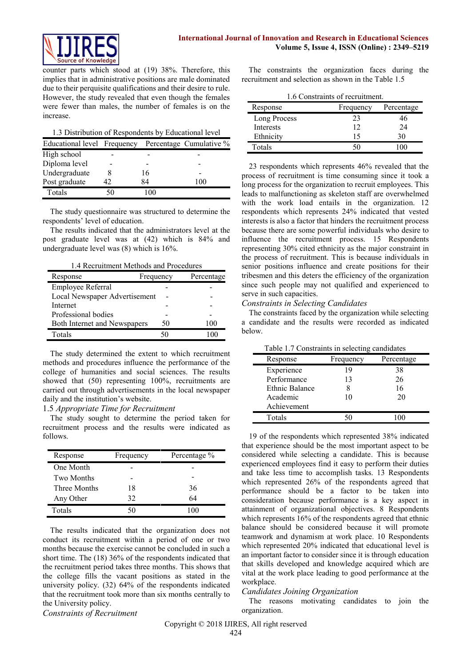

counter parts which stood at (19) 38%. Therefore, this implies that in administrative positions are male dominated due to their perquisite qualifications and their desire to rule. However, the study revealed that even though the females were fewer than males, the number of females is on the increase.

1.3 Distribution of Respondents by Educational level

| Educational level Frequency |    |            | Percentage Cumulative % |
|-----------------------------|----|------------|-------------------------|
| High school                 |    |            |                         |
| Diploma level               |    |            |                         |
| Undergraduate               |    | 16         |                         |
| Post graduate               | 42 | 84         | 100                     |
| Totals                      |    | $^{\circ}$ |                         |

The study questionnaire was structured to determine the respondents' level of education.

The results indicated that the administrators level at the post graduate level was at (42) which is 84% and undergraduate level was (8) which is 16%.

1.4 Recruitment Methods and Procedures

| Response                            | Frequency | Percentage |
|-------------------------------------|-----------|------------|
| Employee Referral                   |           |            |
| Local Newspaper Advertisement       |           |            |
| Internet                            |           |            |
| Professional bodies                 |           |            |
| <b>Both Internet and Newspapers</b> | 50        | 100        |
| Totals                              |           |            |

The study determined the extent to which recruitment methods and procedures influence the performance of the college of humanities and social sciences. The results showed that (50) representing 100%, recruitments are carried out through advertisements in the local newspaper daily and the institution's website.

#### 1.5 *Appropriate Time for Recruitment*

The study sought to determine the period taken for recruitment process and the results were indicated as follows.

| Response          | Frequency | Percentage % |
|-------------------|-----------|--------------|
| One Month         |           |              |
| <b>Two Months</b> |           |              |
| Three Months      | 18        | 36           |
| Any Other         | 32        | 64           |
| Totals            | 50        | 100          |

The results indicated that the organization does not conduct its recruitment within a period of one or two months because the exercise cannot be concluded in such a short time. The (18) 36% of the respondents indicated that the recruitment period takes three months. This shows that the college fills the vacant positions as stated in the university policy. (32) 64% of the respondents indicated that the recruitment took more than six months centrally to the University policy.

*Constraints of Recruitment*

The constraints the organization faces during the recruitment and selection as shown in the Table 1.5

1.6 Constraints of recruitment.

| Response     | Frequency | Percentage |
|--------------|-----------|------------|
| Long Process | 23        | 46         |
| Interests    | 12        | 24         |
| Ethnicity    | 15        | 30         |
| Totals       | 50        |            |

23 respondents which represents 46% revealed that the process of recruitment is time consuming since it took a long process for the organization to recruit employees. This leads to malfunctioning as skeleton staff are overwhelmed with the work load entails in the organization. 12 respondents which represents 24% indicated that vested interests is also a factor that hinders the recruitment process because there are some powerful individuals who desire to influence the recruitment process. 15 Respondents representing 30% cited ethnicity as the major constraint in the process of recruitment. This is because individuals in senior positions influence and create positions for their tribesmen and this deters the efficiency of the organization since such people may not qualified and experienced to serve in such capacities.

#### *Constraints in Selecting Candidates*

The constraints faced by the organization while selecting a candidate and the results were recorded as indicated below.

Table 1.7 Constraints in selecting candidates

| ruore 1.7 construints in selecting culturation<br>Response | Frequency | Percentage |
|------------------------------------------------------------|-----------|------------|
| Experience                                                 | 19        | 38         |
| Performance                                                | 13        | 26         |
| Ethnic Balance                                             |           | 16         |
| Academic                                                   | 10        | 20         |
| Achievement                                                |           |            |
| Totals                                                     |           |            |

19 of the respondents which represented 38% indicated that experience should be the most important aspect to be considered while selecting a candidate. This is because experienced employees find it easy to perform their duties and take less time to accomplish tasks. 13 Respondents which represented 26% of the respondents agreed that performance should be a factor to be taken into consideration because performance is a key aspect in attainment of organizational objectives. 8 Respondents which represents 16% of the respondents agreed that ethnic balance should be considered because it will promote teamwork and dynamism at work place. 10 Respondents which represented 20% indicated that educational level is an important factor to consider since it is through education that skills developed and knowledge acquired which are vital at the work place leading to good performance at the workplace.

### *Candidates Joining Organization*

The reasons motivating candidates to join the organization.